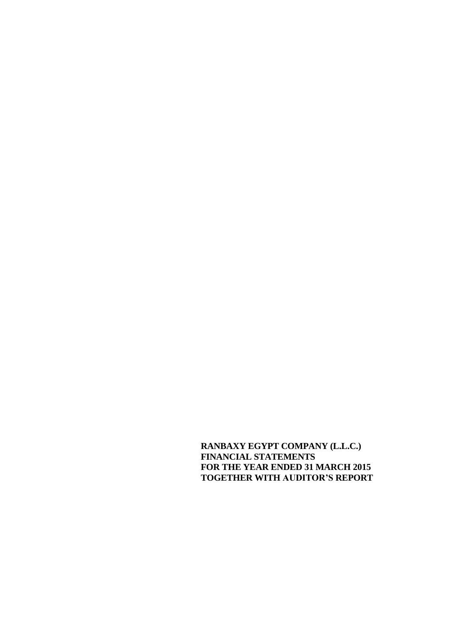**RANBAXY EGYPT COMPANY (L.L.C.) FINANCIAL STATEMENTS FOR THE YEAR ENDED 31 MARCH 2015 TOGETHER WITH AUDITOR'S REPORT**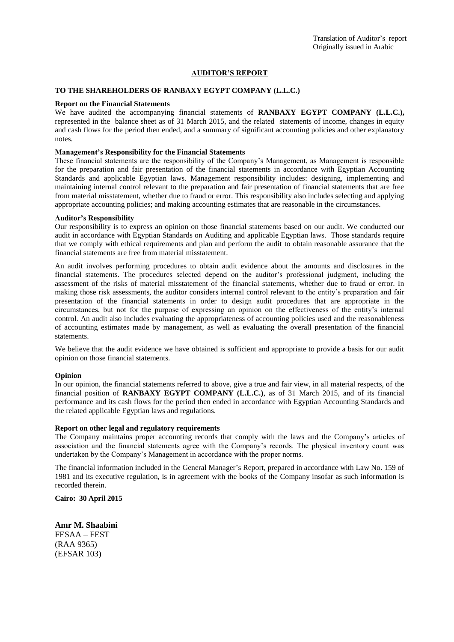#### **AUDITOR'S REPORT**

#### **TO THE SHAREHOLDERS OF RANBAXY EGYPT COMPANY (L.L.C.)**

#### **Report on the Financial Statements**

We have audited the accompanying financial statements of **RANBAXY EGYPT COMPANY (L.L.C.),** represented in the balance sheet as of 31 March 2015, and the related statements of income, changes in equity and cash flows for the period then ended, and a summary of significant accounting policies and other explanatory notes.

#### **Management's Responsibility for the Financial Statements**

These financial statements are the responsibility of the Company's Management, as Management is responsible for the preparation and fair presentation of the financial statements in accordance with Egyptian Accounting Standards and applicable Egyptian laws. Management responsibility includes: designing, implementing and maintaining internal control relevant to the preparation and fair presentation of financial statements that are free from material misstatement, whether due to fraud or error. This responsibility also includes selecting and applying appropriate accounting policies; and making accounting estimates that are reasonable in the circumstances.

#### **Auditor's Responsibility**

Our responsibility is to express an opinion on those financial statements based on our audit. We conducted our audit in accordance with Egyptian Standards on Auditing and applicable Egyptian laws. Those standards require that we comply with ethical requirements and plan and perform the audit to obtain reasonable assurance that the financial statements are free from material misstatement.

An audit involves performing procedures to obtain audit evidence about the amounts and disclosures in the financial statements. The procedures selected depend on the auditor's professional judgment, including the assessment of the risks of material misstatement of the financial statements, whether due to fraud or error. In making those risk assessments, the auditor considers internal control relevant to the entity's preparation and fair presentation of the financial statements in order to design audit procedures that are appropriate in the circumstances, but not for the purpose of expressing an opinion on the effectiveness of the entity's internal control. An audit also includes evaluating the appropriateness of accounting policies used and the reasonableness of accounting estimates made by management, as well as evaluating the overall presentation of the financial statements.

We believe that the audit evidence we have obtained is sufficient and appropriate to provide a basis for our audit opinion on those financial statements.

#### **Opinion**

In our opinion, the financial statements referred to above, give a true and fair view, in all material respects, of the financial position of **RANBAXY EGYPT COMPANY (L.L.C.)**, as of 31 March 2015, and of its financial performance and its cash flows for the period then ended in accordance with Egyptian Accounting Standards and the related applicable Egyptian laws and regulations.

#### **Report on other legal and regulatory requirements**

The Company maintains proper accounting records that comply with the laws and the Company's articles of association and the financial statements agree with the Company's records. The physical inventory count was undertaken by the Company's Management in accordance with the proper norms.

The financial information included in the General Manager's Report, prepared in accordance with Law No. 159 of 1981 and its executive regulation, is in agreement with the books of the Company insofar as such information is recorded therein.

**Cairo: 30 April 2015**

**Amr M. Shaabini** FESAA – FEST (RAA 9365) (EFSAR 103)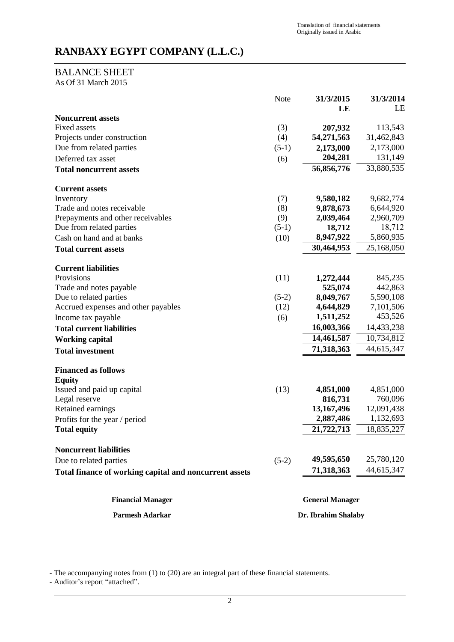# BALANCE SHEET

As Of 31 March 2015

|                                                        | Note                | 31/3/2015              | 31/3/2014  |
|--------------------------------------------------------|---------------------|------------------------|------------|
| <b>Noncurrent assets</b>                               |                     | LE                     | LE         |
| <b>Fixed assets</b>                                    | (3)                 | 207,932                | 113,543    |
| Projects under construction                            | (4)                 | 54,271,563             | 31,462,843 |
| Due from related parties                               | $(5-1)$             | 2,173,000              | 2,173,000  |
| Deferred tax asset                                     | (6)                 | 204,281                | 131,149    |
| <b>Total noncurrent assets</b>                         |                     | 56,856,776             | 33,880,535 |
| <b>Current assets</b>                                  |                     |                        |            |
| Inventory                                              | (7)                 | 9,580,182              | 9,682,774  |
| Trade and notes receivable                             | (8)                 | 9,878,673              | 6,644,920  |
| Prepayments and other receivables                      | (9)                 | 2,039,464              | 2,960,709  |
| Due from related parties                               | $(5-1)$             | 18,712                 | 18,712     |
| Cash on hand and at banks                              | (10)                | 8,947,922              | 5,860,935  |
| <b>Total current assets</b>                            |                     | 30,464,953             | 25,168,050 |
| <b>Current liabilities</b>                             |                     |                        |            |
| Provisions                                             | (11)                | 1,272,444              | 845,235    |
| Trade and notes payable                                |                     | 525,074                | 442,863    |
| Due to related parties                                 | $(5-2)$             | 8,049,767              | 5,590,108  |
| Accrued expenses and other payables                    | (12)                | 4,644,829              | 7,101,506  |
| Income tax payable                                     | (6)                 | 1,511,252              | 453,526    |
| <b>Total current liabilities</b>                       |                     | 16,003,366             | 14,433,238 |
| <b>Working capital</b>                                 |                     | 14,461,587             | 10,734,812 |
| <b>Total investment</b>                                |                     | 71,318,363             | 44,615,347 |
| <b>Financed as follows</b>                             |                     |                        |            |
| <b>Equity</b><br>Issued and paid up capital            | (13)                | 4,851,000              | 4,851,000  |
| Legal reserve                                          |                     | 816,731                | 760,096    |
| Retained earnings                                      |                     | 13,167,496             | 12,091,438 |
| Profits for the year / period                          |                     | 2,887,486              | 1,132,693  |
| <b>Total equity</b>                                    |                     | 21,722,713             | 18,835,227 |
| <b>Noncurrent liabilities</b>                          |                     |                        |            |
| Due to related parties                                 | $(5-2)$             | 49,595,650             | 25,780,120 |
| Total finance of working capital and noncurrent assets |                     | 71,318,363             | 44,615,347 |
| <b>Financial Manager</b>                               |                     | <b>General Manager</b> |            |
| Parmesh Adarkar                                        | Dr. Ibrahim Shalaby |                        |            |

- The accompanying notes from (1) to (20) are an integral part of these financial statements.

- Auditor's report "attached".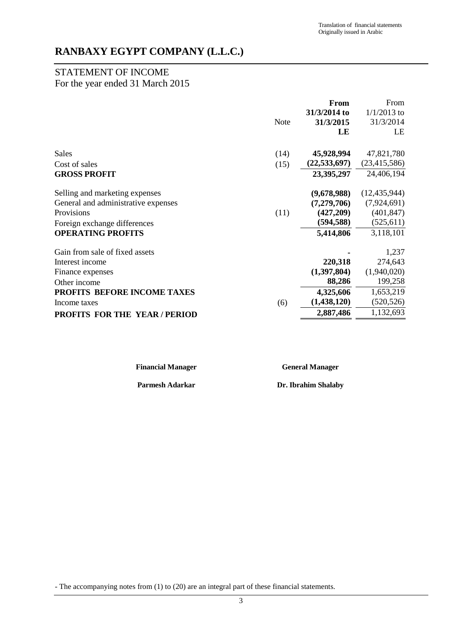# STATEMENT OF INCOME

# For the year ended 31 March 2015

|                                     |             | From           | From           |
|-------------------------------------|-------------|----------------|----------------|
|                                     |             | 31/3/2014 to   | $1/1/2013$ to  |
|                                     | <b>Note</b> | 31/3/2015      | 31/3/2014      |
|                                     |             | LE             | LE             |
| <b>Sales</b>                        | (14)        | 45,928,994     | 47,821,780     |
| Cost of sales                       | (15)        | (22, 533, 697) | (23, 415, 586) |
| <b>GROSS PROFIT</b>                 |             | 23,395,297     | 24,406,194     |
| Selling and marketing expenses      |             | (9,678,988)    | (12, 435, 944) |
| General and administrative expenses |             | (7,279,706)    | (7,924,691)    |
| Provisions                          | (11)        | (427,209)      | (401, 847)     |
| Foreign exchange differences        |             | (594, 588)     | (525, 611)     |
| <b>OPERATING PROFITS</b>            |             | 5,414,806      | 3,118,101      |
| Gain from sale of fixed assets      |             |                | 1,237          |
| Interest income                     |             | 220,318        | 274,643        |
| Finance expenses                    |             | (1,397,804)    | (1,940,020)    |
| Other income                        |             | 88,286         | 199,258        |
| PROFITS BEFORE INCOME TAXES         |             | 4,325,606      | 1,653,219      |
| Income taxes                        | (6)         | (1, 438, 120)  | (520, 526)     |
| <b>PROFITS FOR THE YEAR/PERIOD</b>  |             | 2,887,486      | 1,132,693      |

**Financial Manager General Manager**

**Parmesh Adarkar Dr. Ibrahim Shalaby**

- The accompanying notes from (1) to (20) are an integral part of these financial statements.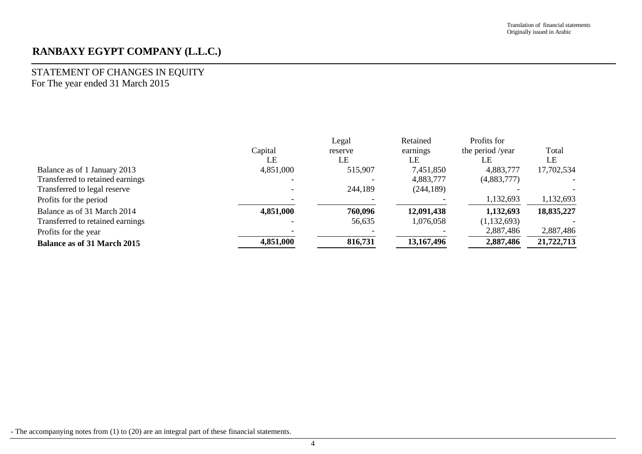# STATEMENT OF CHANGES IN EQUITY For The year ended 31 March 2015

|                                    |           | Legal   | Retained   | Profits for      |            |
|------------------------------------|-----------|---------|------------|------------------|------------|
|                                    | Capital   | reserve | earnings   | the period /year | Total      |
|                                    | LE        | LE      | LE         | LE               | LE         |
| Balance as of 1 January 2013       | 4,851,000 | 515,907 | 7,451,850  | 4,883,777        | 17,702,534 |
| Transferred to retained earnings   |           |         | 4,883,777  | (4,883,777)      |            |
| Transferred to legal reserve       |           | 244,189 | (244, 189) |                  |            |
| Profits for the period             |           |         |            | 1,132,693        | 1,132,693  |
| Balance as of 31 March 2014        | 4,851,000 | 760,096 | 12,091,438 | 1,132,693        | 18,835,227 |
| Transferred to retained earnings   |           | 56,635  | 1,076,058  | (1,132,693)      |            |
| Profits for the year               |           |         |            | 2,887,486        | 2,887,486  |
| <b>Balance as of 31 March 2015</b> | 4,851,000 | 816,731 | 13,167,496 | 2,887,486        | 21,722,713 |

- The accompanying notes from (1) to (20) are an integral part of these financial statements.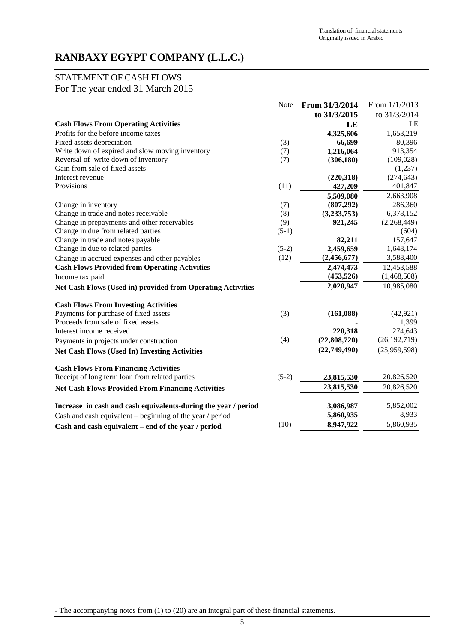# STATEMENT OF CASH FLOWS

For The year ended 31 March 2015

|                                                                | <b>Note</b> | From 31/3/2014 | From 1/1/2013  |
|----------------------------------------------------------------|-------------|----------------|----------------|
|                                                                |             | to 31/3/2015   | to 31/3/2014   |
| <b>Cash Flows From Operating Activities</b>                    |             | LE             | LE             |
| Profits for the before income taxes                            |             | 4,325,606      | 1,653,219      |
| Fixed assets depreciation                                      | (3)         | 66,699         | 80,396         |
| Write down of expired and slow moving inventory                | (7)         | 1,216,064      | 913,354        |
| Reversal of write down of inventory                            | (7)         | (306, 180)     | (109,028)      |
| Gain from sale of fixed assets                                 |             |                | (1,237)        |
| Interest revenue                                               |             | (220, 318)     | (274, 643)     |
| Provisions                                                     | (11)        | 427,209        | 401,847        |
|                                                                |             | 5,509,080      | 2,663,908      |
| Change in inventory                                            | (7)         | (807, 292)     | 286,360        |
| Change in trade and notes receivable                           | (8)         | (3,233,753)    | 6,378,152      |
| Change in prepayments and other receivables                    | (9)         | 921,245        | (2,268,449)    |
| Change in due from related parties                             | $(5-1)$     |                | (604)          |
| Change in trade and notes payable                              |             | 82,211         | 157,647        |
| Change in due to related parties                               | $(5-2)$     | 2,459,659      | 1,648,174      |
| Change in accrued expenses and other payables                  | (12)        | (2,456,677)    | 3,588,400      |
| <b>Cash Flows Provided from Operating Activities</b>           |             | 2,474,473      | 12,453,588     |
| Income tax paid                                                |             | (453, 526)     | (1,468,508)    |
| Net Cash Flows (Used in) provided from Operating Activities    |             | 2,020,947      | 10,985,080     |
| <b>Cash Flows From Investing Activities</b>                    |             |                |                |
| Payments for purchase of fixed assets                          | (3)         | (161,088)      | (42, 921)      |
| Proceeds from sale of fixed assets                             |             |                | 1,399          |
| Interest income received                                       |             | 220,318        | 274,643        |
| Payments in projects under construction                        | (4)         | (22,808,720)   | (26, 192, 719) |
| <b>Net Cash Flows (Used In) Investing Activities</b>           |             | (22,749,490)   | (25,959,598)   |
| <b>Cash Flows From Financing Activities</b>                    |             |                |                |
| Receipt of long term loan from related parties                 | $(5-2)$     | 23,815,530     | 20,826,520     |
| <b>Net Cash Flows Provided From Financing Activities</b>       |             | 23,815,530     | 20,826,520     |
|                                                                |             |                |                |
| Increase in cash and cash equivalents-during the year / period |             | 3,086,987      | 5,852,002      |
| Cash and cash equivalent $-$ beginning of the year / period    |             | 5,860,935      | 8,933          |
| Cash and cash equivalent - end of the year / period            | (10)        | 8,947,922      | 5,860,935      |

- The accompanying notes from (1) to (20) are an integral part of these financial statements.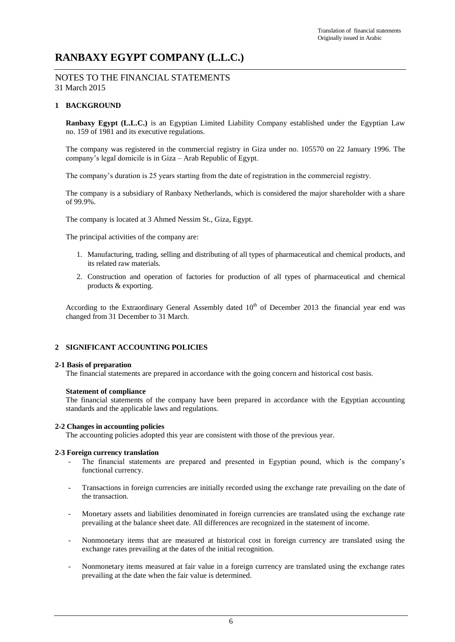### NOTES TO THE FINANCIAL STATEMENTS 31 March 2015

### **1 BACKGROUND**

**Ranbaxy Egypt (L.L.C.)** is an Egyptian Limited Liability Company established under the Egyptian Law no. 159 of 1981 and its executive regulations.

The company was registered in the commercial registry in Giza under no. 105570 on 22 January 1996. The company's legal domicile is in Giza – Arab Republic of Egypt.

The company's duration is 25 years starting from the date of registration in the commercial registry.

The company is a subsidiary of Ranbaxy Netherlands, which is considered the major shareholder with a share of 99.9%.

The company is located at 3 Ahmed Nessim St., Giza, Egypt.

The principal activities of the company are:

- 1. Manufacturing, trading, selling and distributing of all types of pharmaceutical and chemical products, and its related raw materials.
- 2. Construction and operation of factories for production of all types of pharmaceutical and chemical products & exporting.

According to the Extraordinary General Assembly dated  $10<sup>th</sup>$  of December 2013 the financial year end was changed from 31 December to 31 March.

### **2 SIGNIFICANT ACCOUNTING POLICIES**

#### **2-1 Basis of preparation**

The financial statements are prepared in accordance with the going concern and historical cost basis.

#### **Statement of compliance**

The financial statements of the company have been prepared in accordance with the Egyptian accounting standards and the applicable laws and regulations.

#### **2-2 Changes in accounting policies**

The accounting policies adopted this year are consistent with those of the previous year.

#### **2-3 Foreign currency translation**

- The financial statements are prepared and presented in Egyptian pound, which is the company's functional currency.
- Transactions in foreign currencies are initially recorded using the exchange rate prevailing on the date of the transaction.
- Monetary assets and liabilities denominated in foreign currencies are translated using the exchange rate prevailing at the balance sheet date. All differences are recognized in the statement of income.
- Nonmonetary items that are measured at historical cost in foreign currency are translated using the exchange rates prevailing at the dates of the initial recognition.
- Nonmonetary items measured at fair value in a foreign currency are translated using the exchange rates prevailing at the date when the fair value is determined.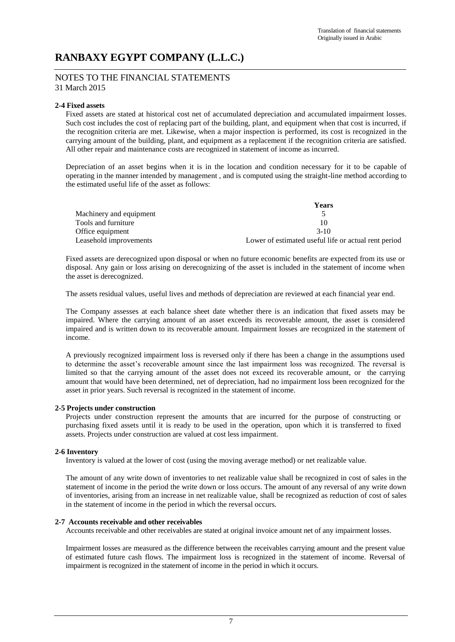### NOTES TO THE FINANCIAL STATEMENTS 31 March 2015

#### **2-4 Fixed assets**

Fixed assets are stated at historical cost net of accumulated depreciation and accumulated impairment losses. Such cost includes the cost of replacing part of the building, plant, and equipment when that cost is incurred, if the recognition criteria are met. Likewise, when a major inspection is performed, its cost is recognized in the carrying amount of the building, plant, and equipment as a replacement if the recognition criteria are satisfied. All other repair and maintenance costs are recognized in statement of income as incurred.

Depreciation of an asset begins when it is in the location and condition necessary for it to be capable of operating in the manner intended by management , and is computed using the straight-line method according to the estimated useful life of the asset as follows:

|                         | Years                                                |
|-------------------------|------------------------------------------------------|
| Machinery and equipment |                                                      |
| Tools and furniture     | 10                                                   |
| Office equipment        | $3-10$                                               |
| Leasehold improvements  | Lower of estimated useful life or actual rent period |

Fixed assets are derecognized upon disposal or when no future economic benefits are expected from its use or disposal. Any gain or loss arising on derecognizing of the asset is included in the statement of income when the asset is derecognized.

The assets residual values, useful lives and methods of depreciation are reviewed at each financial year end.

The Company assesses at each balance sheet date whether there is an indication that fixed assets may be impaired. Where the carrying amount of an asset exceeds its recoverable amount, the asset is considered impaired and is written down to its recoverable amount. Impairment losses are recognized in the statement of income.

A previously recognized impairment loss is reversed only if there has been a change in the assumptions used to determine the asset's recoverable amount since the last impairment loss was recognized. The reversal is limited so that the carrying amount of the asset does not exceed its recoverable amount, or the carrying amount that would have been determined, net of depreciation, had no impairment loss been recognized for the asset in prior years. Such reversal is recognized in the statement of income.

#### **2-5 Projects under construction**

Projects under construction represent the amounts that are incurred for the purpose of constructing or purchasing fixed assets until it is ready to be used in the operation, upon which it is transferred to fixed assets. Projects under construction are valued at cost less impairment.

#### **2-6 Inventory**

Inventory is valued at the lower of cost (using the moving average method) or net realizable value.

The amount of any write down of inventories to net realizable value shall be recognized in cost of sales in the statement of income in the period the write down or loss occurs. The amount of any reversal of any write down of inventories, arising from an increase in net realizable value, shall be recognized as reduction of cost of sales in the statement of income in the period in which the reversal occurs.

#### **2-7 Accounts receivable and other receivables**

Accounts receivable and other receivables are stated at original invoice amount net of any impairment losses.

Impairment losses are measured as the difference between the receivables carrying amount and the present value of estimated future cash flows. The impairment loss is recognized in the statement of income. Reversal of impairment is recognized in the statement of income in the period in which it occurs.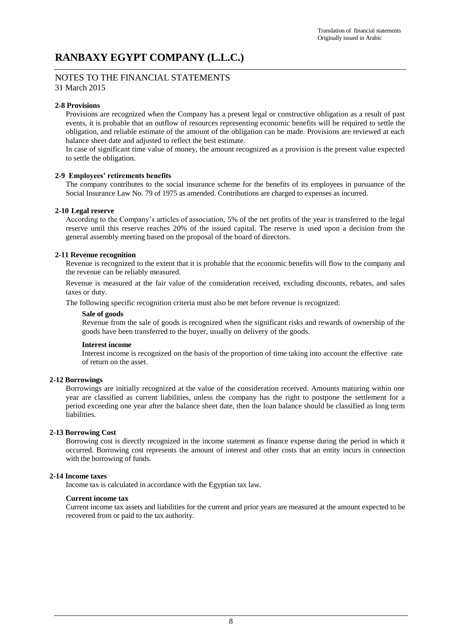#### NOTES TO THE FINANCIAL STATEMENTS 31 March 2015

### **2-8 Provisions**

Provisions are recognized when the Company has a present legal or constructive obligation as a result of past events, it is probable that an outflow of resources representing economic benefits will be required to settle the obligation, and reliable estimate of the amount of the obligation can be made. Provisions are reviewed at each balance sheet date and adjusted to reflect the best estimate.

In case of significant time value of money, the amount recognized as a provision is the present value expected to settle the obligation.

#### **2-9 Employees' retirements benefits**

The company contributes to the social insurance scheme for the benefits of its employees in pursuance of the Social Insurance Law No. 79 of 1975 as amended. Contributions are charged to expenses as incurred.

#### **2-10 Legal reserve**

According to the Company's articles of association, 5% of the net profits of the year is transferred to the legal reserve until this reserve reaches 20% of the issued capital. The reserve is used upon a decision from the general assembly meeting based on the proposal of the board of directors.

#### **2-11 Revenue recognition**

Revenue is recognized to the extent that it is probable that the economic benefits will flow to the company and the revenue can be reliably measured.

Revenue is measured at the fair value of the consideration received, excluding discounts, rebates, and sales taxes or duty.

The following specific recognition criteria must also be met before revenue is recognized:

#### **Sale of goods**

Revenue from the sale of goods is recognized when the significant risks and rewards of ownership of the goods have been transferred to the buyer, usually on delivery of the goods.

#### **Interest income**

Interest income is recognized on the basis of the proportion of time taking into account the effective rate of return on the asset.

#### **2-12 Borrowings**

Borrowings are initially recognized at the value of the consideration received. Amounts maturing within one year are classified as current liabilities, unless the company has the right to postpone the settlement for a period exceeding one year after the balance sheet date, then the loan balance should be classified as long term liabilities.

#### **2-13 Borrowing Cost**

Borrowing cost is directly recognized in the income statement as finance expense during the period in which it occurred. Borrowing cost represents the amount of interest and other costs that an entity incurs in connection with the borrowing of funds.

#### **2-14 Income taxes**

Income tax is calculated in accordance with the Egyptian tax law.

#### **Current income tax**

Current income tax assets and liabilities for the current and prior years are measured at the amount expected to be recovered from or paid to the tax authority.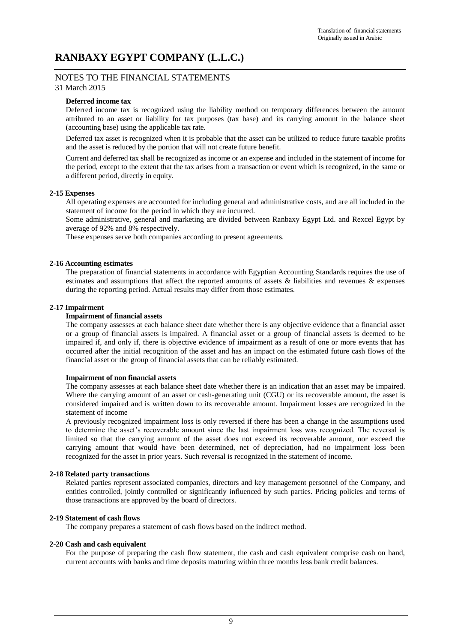# NOTES TO THE FINANCIAL STATEMENTS

## 31 March 2015

### **Deferred income tax**

Deferred income tax is recognized using the liability method on temporary differences between the amount attributed to an asset or liability for tax purposes (tax base) and its carrying amount in the balance sheet (accounting base) using the applicable tax rate.

Deferred tax asset is recognized when it is probable that the asset can be utilized to reduce future taxable profits and the asset is reduced by the portion that will not create future benefit.

Current and deferred tax shall be recognized as income or an expense and included in the statement of income for the period, except to the extent that the tax arises from a transaction or event which is recognized, in the same or a different period, directly in equity.

#### **2-15 Expenses**

All operating expenses are accounted for including general and administrative costs, and are all included in the statement of income for the period in which they are incurred.

Some administrative, general and marketing are divided between Ranbaxy Egypt Ltd. and Rexcel Egypt by average of 92% and 8% respectively.

These expenses serve both companies according to present agreements.

#### **2-16 Accounting estimates**

The preparation of financial statements in accordance with Egyptian Accounting Standards requires the use of estimates and assumptions that affect the reported amounts of assets & liabilities and revenues & expenses during the reporting period. Actual results may differ from those estimates.

#### **2-17 Impairment**

#### **Impairment of financial assets**

The company assesses at each balance sheet date whether there is any objective evidence that a financial asset or a group of financial assets is impaired. A financial asset or a group of financial assets is deemed to be impaired if, and only if, there is objective evidence of impairment as a result of one or more events that has occurred after the initial recognition of the asset and has an impact on the estimated future cash flows of the financial asset or the group of financial assets that can be reliably estimated.

#### **Impairment of non financial assets**

The company assesses at each balance sheet date whether there is an indication that an asset may be impaired. Where the carrying amount of an asset or cash-generating unit (CGU) or its recoverable amount, the asset is considered impaired and is written down to its recoverable amount. Impairment losses are recognized in the statement of income

A previously recognized impairment loss is only reversed if there has been a change in the assumptions used to determine the asset's recoverable amount since the last impairment loss was recognized. The reversal is limited so that the carrying amount of the asset does not exceed its recoverable amount, nor exceed the carrying amount that would have been determined, net of depreciation, had no impairment loss been recognized for the asset in prior years. Such reversal is recognized in the statement of income.

#### **2-18 Related party transactions**

Related parties represent associated companies, directors and key management personnel of the Company, and entities controlled, jointly controlled or significantly influenced by such parties. Pricing policies and terms of those transactions are approved by the board of directors.

#### **2-19 Statement of cash flows**

The company prepares a statement of cash flows based on the indirect method.

#### **2-20 Cash and cash equivalent**

For the purpose of preparing the cash flow statement, the cash and cash equivalent comprise cash on hand, current accounts with banks and time deposits maturing within three months less bank credit balances.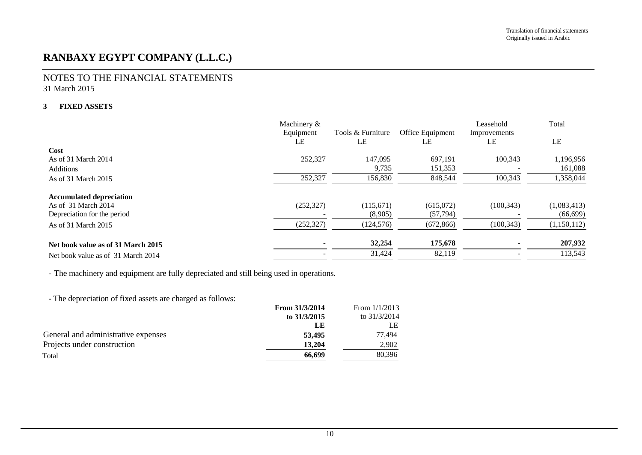## NOTES TO THE FINANCIAL STATEMENTS 31 March 2015

### **3 FIXED ASSETS**

|                                    | Machinery & |                   |                  | Leasehold    | Total       |
|------------------------------------|-------------|-------------------|------------------|--------------|-------------|
|                                    | Equipment   | Tools & Furniture | Office Equipment | Improvements |             |
|                                    | LE          | LE                | LE               | LE           | LE          |
| Cost                               |             |                   |                  |              |             |
| As of 31 March 2014                | 252,327     | 147,095           | 697.191          | 100.343      | 1,196,956   |
| <b>Additions</b>                   |             | 9.735             | 151,353          |              | 161,088     |
| As of 31 March 2015                | 252,327     | 156,830           | 848,544          | 100,343      | 1,358,044   |
| <b>Accumulated depreciation</b>    |             |                   |                  |              |             |
| As of 31 March 2014                | (252, 327)  | (115,671)         | (615,072)        | (100, 343)   | (1,083,413) |
| Depreciation for the period        |             | (8,905)           | (57, 794)        |              | (66, 699)   |
| As of 31 March 2015                | (252, 327)  | (124, 576)        | (672, 866)       | (100, 343)   | (1,150,112) |
| Net book value as of 31 March 2015 |             | 32,254            | 175,678          |              | 207,932     |
| Net book value as of 31 March 2014 |             | 31,424            | 82,119           |              | 113,543     |

- The machinery and equipment are fully depreciated and still being used in operations.

- The depreciation of fixed assets are charged as follows:

| From 31/3/2014 | From $1/1/2013$ |
|----------------|-----------------|
| to 31/3/2015   | to 31/3/2014    |
| LE             | LE              |
| 53,495         | 77.494          |
| 13.204         | 2.902           |
| 66,699         | 80,396          |
|                |                 |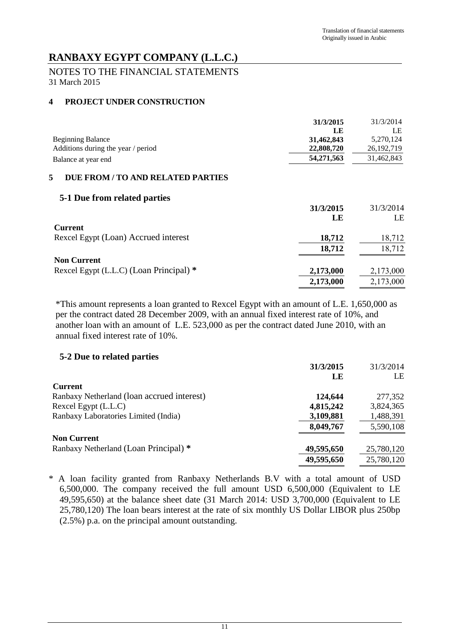# NOTES TO THE FINANCIAL STATEMENTS 31 March 2015

# **4 PROJECT UNDER CONSTRUCTION**

|                                         | 31/3/2015  | 31/3/2014    |
|-----------------------------------------|------------|--------------|
|                                         | LE         | LE           |
| <b>Beginning Balance</b>                | 31,462,843 | 5,270,124    |
| Additions during the year / period      | 22,808,720 | 26, 192, 719 |
| Balance at year end                     | 54,271,563 | 31,462,843   |
| 5<br>DUE FROM / TO AND RELATED PARTIES  |            |              |
| 5-1 Due from related parties            |            |              |
|                                         | 31/3/2015  | 31/3/2014    |
|                                         | LE         | LE           |
| <b>Current</b>                          |            |              |
| Rexcel Egypt (Loan) Accrued interest    | 18,712     | 18,712       |
|                                         | 18,712     | 18,712       |
| <b>Non Current</b>                      |            |              |
| Rexcel Egypt (L.L.C) (Loan Principal) * | 2,173,000  | 2,173,000    |
|                                         | 2,173,000  | 2,173,000    |

\*This amount represents a loan granted to Rexcel Egypt with an amount of L.E. 1,650,000 as per the contract dated 28 December 2009, with an annual fixed interest rate of 10%, and another loan with an amount of L.E. 523,000 as per the contract dated June 2010, with an annual fixed interest rate of 10%.

# **5-2 Due to related parties**

|                                            | 31/3/2015  | 31/3/2014  |
|--------------------------------------------|------------|------------|
|                                            | LE         | LE         |
| <b>Current</b>                             |            |            |
| Ranbaxy Netherland (loan accrued interest) | 124,644    | 277,352    |
| Rexcel Egypt (L.L.C)                       | 4,815,242  | 3,824,365  |
| Ranbaxy Laboratories Limited (India)       | 3,109,881  | 1,488,391  |
|                                            | 8,049,767  | 5,590,108  |
| <b>Non Current</b>                         |            |            |
| Ranbaxy Netherland (Loan Principal) *      | 49,595,650 | 25,780,120 |
|                                            | 49,595,650 | 25,780,120 |

\* A loan facility granted from Ranbaxy Netherlands B.V with a total amount of USD 6,500,000. The company received the full amount USD 6,500,000 (Equivalent to LE 49,595,650) at the balance sheet date (31 March 2014: USD 3,700,000 (Equivalent to LE 25,780,120) The loan bears interest at the rate of six monthly US Dollar LIBOR plus 250bp (2.5%) p.a. on the principal amount outstanding.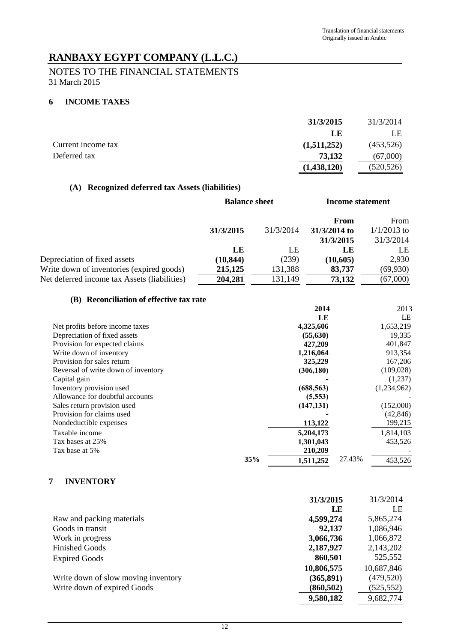# NOTES TO THE FINANCIAL STATEMENTS 31 March 2015

## **6 INCOME TAXES**

|                    | 31/3/2015   | 31/3/2014  |
|--------------------|-------------|------------|
|                    | LE          | LE         |
| Current income tax | (1,511,252) | (453,526)  |
| Deferred tax       | 73,132      | (67,000)   |
|                    | (1,438,120) | (520, 526) |

## **(A) Recognized deferred tax Assets (liabilities)**

|                                              | <b>Balance sheet</b> |           | Income statement |               |
|----------------------------------------------|----------------------|-----------|------------------|---------------|
|                                              |                      |           | From             | From          |
|                                              | 31/3/2015            | 31/3/2014 | 31/3/2014 to     | $1/1/2013$ to |
|                                              |                      |           | 31/3/2015        | 31/3/2014     |
|                                              | LE                   | LE        | LE               | LE            |
| Depreciation of fixed assets                 | (10, 844)            | (239)     | (10,605)         | 2,930         |
| Write down of inventories (expired goods)    | 215,125              | 131,388   | 83,737           | (69, 930)     |
| Net deferred income tax Assets (liabilities) | 204,281              | 131,149   | 73,132           | (67,000)      |

## **(B) Reconciliation of effective tax rate**

|                                     |     | 2014       |        | 2013        |
|-------------------------------------|-----|------------|--------|-------------|
|                                     |     | LE         |        | LE          |
| Net profits before income taxes     |     | 4,325,606  |        | 1,653,219   |
| Depreciation of fixed assets        |     | (55, 630)  |        | 19,335      |
| Provision for expected claims       |     | 427,209    |        | 401,847     |
| Write down of inventory             |     | 1,216,064  |        | 913,354     |
| Provision for sales return          |     | 325,229    |        | 167,206     |
| Reversal of write down of inventory |     | (306, 180) |        | (109, 028)  |
| Capital gain                        |     |            |        | (1,237)     |
| Inventory provision used            |     | (688, 563) |        | (1,234,962) |
| Allowance for doubtful accounts     |     | (5,553)    |        |             |
| Sales return provision used         |     | (147, 131) |        | (152,000)   |
| Provision for claims used           |     |            |        | (42, 846)   |
| Nondeductible expenses              |     | 113,122    |        | 199,215     |
| Taxable income                      |     | 5,204,173  |        | 1,814,103   |
| Tax bases at 25%                    |     | 1,301,043  |        | 453,526     |
| Tax base at 5%                      |     | 210,209    |        |             |
|                                     | 35% | 1,511,252  | 27.43% | 453,526     |

# **7 INVENTORY**

|                                     | 31/3/2015  | 31/3/2014  |
|-------------------------------------|------------|------------|
|                                     | LE         | LE         |
| Raw and packing materials           | 4,599,274  | 5,865,274  |
| Goods in transit                    | 92,137     | 1,086,946  |
| Work in progress                    | 3,066,736  | 1,066,872  |
| <b>Finished Goods</b>               | 2,187,927  | 2,143,202  |
| <b>Expired Goods</b>                | 860,501    | 525,552    |
|                                     | 10,806,575 | 10,687,846 |
| Write down of slow moving inventory | (365, 891) | (479, 520) |
| Write down of expired Goods         | (860, 502) | (525, 552) |
|                                     | 9,580,182  | 9,682,774  |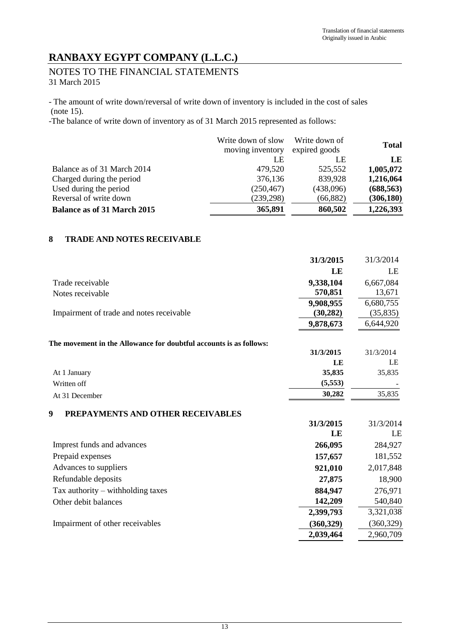# NOTES TO THE FINANCIAL STATEMENTS 31 March 2015

- The amount of write down/reversal of write down of inventory is included in the cost of sales (note 15).

-The balance of write down of inventory as of 31 March 2015 represented as follows:

|                                    | Write down of slow<br>moving inventory | Write down of<br>expired goods | <b>Total</b> |
|------------------------------------|----------------------------------------|--------------------------------|--------------|
|                                    | LE                                     | LE                             | LE           |
| Balance as of 31 March 2014        | 479,520                                | 525,552                        | 1,005,072    |
| Charged during the period          | 376,136                                | 839,928                        | 1,216,064    |
| Used during the period             | (250, 467)                             | (438,096)                      | (688, 563)   |
| Reversal of write down             | (239, 298)                             | (66, 882)                      | (306, 180)   |
| <b>Balance as of 31 March 2015</b> | 365,891                                | 860,502                        | 1,226,393    |

## **8 TRADE AND NOTES RECEIVABLE**

|                                                                    | 31/3/2015  | 31/3/2014  |
|--------------------------------------------------------------------|------------|------------|
|                                                                    | LE         | LE         |
| Trade receivable                                                   | 9,338,104  | 6,667,084  |
| Notes receivable                                                   | 570,851    | 13,671     |
|                                                                    | 9,908,955  | 6,680,755  |
| Impairment of trade and notes receivable                           | (30, 282)  | (35, 835)  |
|                                                                    | 9,878,673  | 6,644,920  |
| The movement in the Allowance for doubtful accounts is as follows: |            |            |
|                                                                    | 31/3/2015  | 31/3/2014  |
|                                                                    | LE         | LE         |
| At 1 January                                                       | 35,835     | 35,835     |
| Written off                                                        | (5, 553)   |            |
| At 31 December                                                     | 30,282     | 35,835     |
| 9<br>PREPAYMENTS AND OTHER RECEIVABLES                             |            |            |
|                                                                    | 31/3/2015  | 31/3/2014  |
|                                                                    | LE         | LE         |
| Imprest funds and advances                                         | 266,095    | 284,927    |
| Prepaid expenses                                                   | 157,657    | 181,552    |
| Advances to suppliers                                              | 921,010    | 2,017,848  |
| Refundable deposits                                                | 27,875     | 18,900     |
| Tax authority - withholding taxes                                  | 884,947    | 276,971    |
| Other debit balances                                               | 142,209    | 540,840    |
|                                                                    | 2,399,793  | 3,321,038  |
| Impairment of other receivables                                    | (360, 329) | (360, 329) |
|                                                                    | 2,039,464  | 2,960,709  |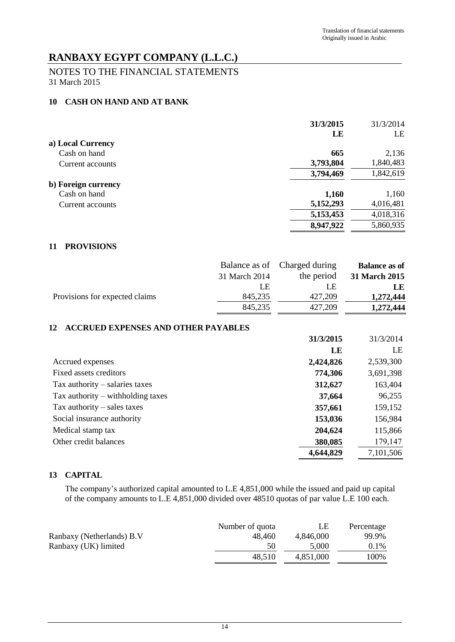# NOTES TO THE FINANCIAL STATEMENTS 31 March 2015

## **10 CASH ON HAND AND AT BANK**

|                     | 31/3/2015 | 31/3/2014 |
|---------------------|-----------|-----------|
|                     | LE        | LE        |
| a) Local Currency   |           |           |
| Cash on hand        | 665       | 2,136     |
| Current accounts    | 3,793,804 | 1,840,483 |
|                     | 3,794,469 | 1,842,619 |
| b) Foreign currency |           |           |
| Cash on hand        | 1,160     | 1,160     |
| Current accounts    | 5,152,293 | 4,016,481 |
|                     | 5,153,453 | 4,018,316 |
|                     | 8,947,922 | 5,860,935 |
|                     |           |           |

## **11 PROVISIONS**

|                                |               | Balance as of Charged during | <b>Balance as of</b> |
|--------------------------------|---------------|------------------------------|----------------------|
|                                | 31 March 2014 | the period                   | 31 March 2015        |
|                                | LE.           | LE                           | LE                   |
| Provisions for expected claims | 845,235       | 427,209                      | 1,272,444            |
|                                | 845,235       | 427,209                      | 1,272,444            |

## **12 ACCRUED EXPENSES AND OTHER PAYABLES**

|                                     | 31/3/2015 | 31/3/2014 |
|-------------------------------------|-----------|-----------|
|                                     | LE        | LE        |
| Accrued expenses                    | 2,424,826 | 2,539,300 |
| Fixed assets creditors              | 774,306   | 3,691,398 |
| Tax authority $-$ salaries taxes    | 312,627   | 163,404   |
| Tax authority $-$ withholding taxes | 37,664    | 96,255    |
| Tax authority $-$ sales taxes       | 357,661   | 159,152   |
| Social insurance authority          | 153,036   | 156,984   |
| Medical stamp tax                   | 204,624   | 115,866   |
| Other credit balances               | 380,085   | 179,147   |
|                                     | 4,644,829 | 7,101,506 |

# **13 CAPITAL**

The company's authorized capital amounted to L.E 4,851,000 while the issued and paid up capital of the company amounts to L.E 4,851,000 divided over 48510 quotas of par value L.E 100 each.

|                           | Number of quota | LЕ        | Percentage |
|---------------------------|-----------------|-----------|------------|
| Ranbaxy (Netherlands) B.V | 48.460          | 4.846,000 | 99.9%      |
| Ranbaxy (UK) limited      | 50              | 5.000     | $0.1\%$    |
|                           | 48.510          | 4.851.000 | 100%       |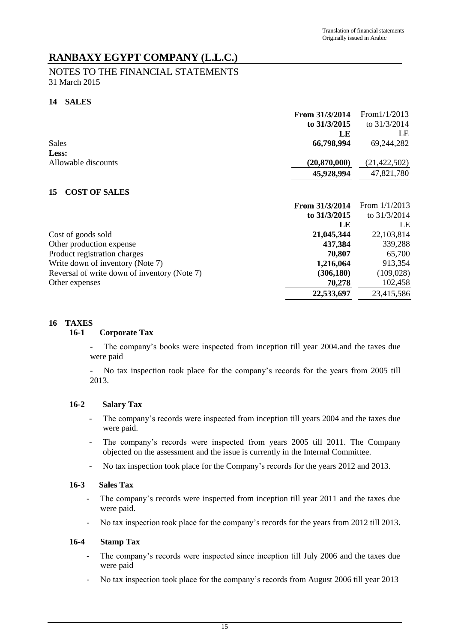# NOTES TO THE FINANCIAL STATEMENTS 31 March 2015

## **14 SALES**

|                                              | From 31/3/2014 | From $1/1/2013$ |
|----------------------------------------------|----------------|-----------------|
|                                              | to 31/3/2015   | to $31/3/2014$  |
|                                              | LE             | LE              |
| Sales                                        | 66,798,994     | 69,244,282      |
| Less:                                        |                |                 |
| Allowable discounts                          | (20, 870, 000) | (21, 422, 502)  |
|                                              | 45,928,994     | 47,821,780      |
| <b>COST OF SALES</b><br>15                   |                |                 |
|                                              | From 31/3/2014 | From $1/1/2013$ |
|                                              | to 31/3/2015   | to 31/3/2014    |
|                                              | LE             | LE              |
| Cost of goods sold                           | 21,045,344     | 22, 103, 814    |
| Other production expense                     | 437,384        | 339,288         |
| Product registration charges                 | 70,807         | 65,700          |
| Write down of inventory (Note 7)             | 1,216,064      | 913,354         |
| Reversal of write down of inventory (Note 7) | (306, 180)     | (109, 028)      |
| Other expenses                               | 70,278         | 102,458         |
|                                              | 22,533,697     | 23,415,586      |

## **16 TAXES**

## **16-1 Corporate Tax**

The company's books were inspected from inception till year 2004.and the taxes due were paid

- No tax inspection took place for the company's records for the years from 2005 till 2013.

## **16-2 Salary Tax**

- The company's records were inspected from inception till years 2004 and the taxes due were paid.
- The company's records were inspected from years 2005 till 2011. The Company objected on the assessment and the issue is currently in the Internal Committee.
- No tax inspection took place for the Company's records for the years 2012 and 2013.

## **16-3 Sales Tax**

- The company's records were inspected from inception till year 2011 and the taxes due were paid.
- No tax inspection took place for the company's records for the years from 2012 till 2013.

## **16-4 Stamp Tax**

- The company's records were inspected since inception till July 2006 and the taxes due were paid
- No tax inspection took place for the company's records from August 2006 till year 2013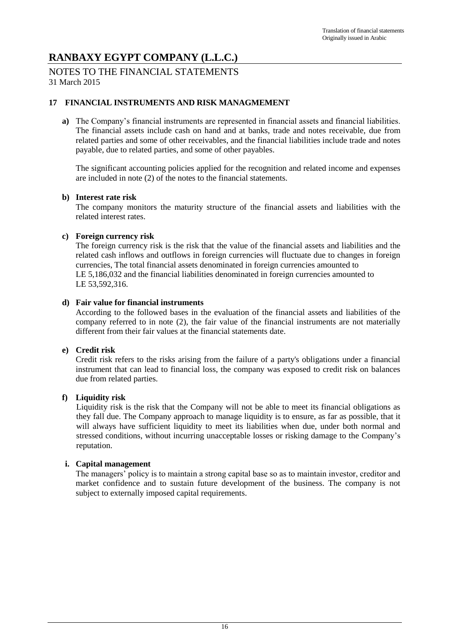## NOTES TO THE FINANCIAL STATEMENTS 31 March 2015

## **17 FINANCIAL INSTRUMENTS AND RISK MANAGMEMENT**

**a)** The Company's financial instruments are represented in financial assets and financial liabilities. The financial assets include cash on hand and at banks, trade and notes receivable, due from related parties and some of other receivables, and the financial liabilities include trade and notes payable, due to related parties, and some of other payables.

The significant accounting policies applied for the recognition and related income and expenses are included in note (2) of the notes to the financial statements.

### **b) Interest rate risk**

The company monitors the maturity structure of the financial assets and liabilities with the related interest rates.

## **c) Foreign currency risk**

The foreign currency risk is the risk that the value of the financial assets and liabilities and the related cash inflows and outflows in foreign currencies will fluctuate due to changes in foreign currencies, The total financial assets denominated in foreign currencies amounted to LE 5,186,032 and the financial liabilities denominated in foreign currencies amounted to LE 53,592,316.

### **d) Fair value for financial instruments**

According to the followed bases in the evaluation of the financial assets and liabilities of the company referred to in note (2), the fair value of the financial instruments are not materially different from their fair values at the financial statements date.

### **e) Credit risk**

Credit risk refers to the risks arising from the failure of a party's obligations under a financial instrument that can lead to financial loss, the company was exposed to credit risk on balances due from related parties.

### **f) Liquidity risk**

Liquidity risk is the risk that the Company will not be able to meet its financial obligations as they fall due. The Company approach to manage liquidity is to ensure, as far as possible, that it will always have sufficient liquidity to meet its liabilities when due, under both normal and stressed conditions, without incurring unacceptable losses or risking damage to the Company's reputation.

### **i. Capital management**

The managers' policy is to maintain a strong capital base so as to maintain investor, creditor and market confidence and to sustain future development of the business. The company is not subject to externally imposed capital requirements.